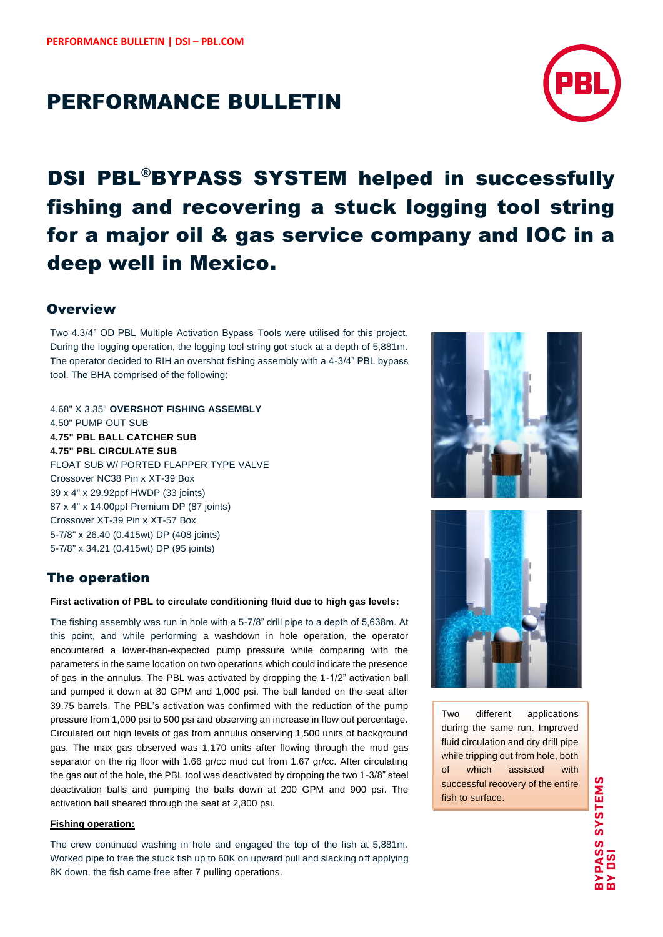## PERFORMANCE BULLETIN



# DSI PBL®BYPASS SYSTEM helped in successfully fishing and recovering a stuck logging tool string for a major oil & gas service company and IOC in a deep well in Mexico.

## **Overview**

Two 4.3/4" OD PBL Multiple Activation Bypass Tools were utilised for this project. During the logging operation, the logging tool string got stuck at a depth of 5,881m. The operator decided to RIH an overshot fishing assembly with a 4-3/4" PBL bypass tool. The BHA comprised of the following:

4.68" X 3.35" **OVERSHOT FISHING ASSEMBLY** 4.50" PUMP OUT SUB **4.75" PBL BALL CATCHER SUB 4.75" PBL CIRCULATE SUB** FLOAT SUB W/ PORTED FLAPPER TYPE VALVE Crossover NC38 Pin x XT-39 Box 39 x 4" x 29.92ppf HWDP (33 joints) 87 x 4" x 14.00ppf Premium DP (87 joints) Crossover XT-39 Pin x XT-57 Box 5-7/8" x 26.40 (0.415wt) DP (408 joints) 5-7/8" x 34.21 (0.415wt) DP (95 joints)



## The operation

#### **First activation of PBL to circulate conditioning fluid due to high gas levels:**

The fishing assembly was run in hole with a 5-7/8" drill pipe to a depth of 5,638m. At this point, and while performing a washdown in hole operation, the operator encountered a lower-than-expected pump pressure while comparing with the parameters in the same location on two operations which could indicate the presence of gas in the annulus. The PBL was activated by dropping the 1-1/2" activation ball and pumped it down at 80 GPM and 1,000 psi. The ball landed on the seat after 39.75 barrels. The PBL's activation was confirmed with the reduction of the pump pressure from 1,000 psi to 500 psi and observing an increase in flow out percentage. Circulated out high levels of gas from annulus observing 1,500 units of background gas. The max gas observed was 1,170 units after flowing through the mud gas separator on the rig floor with 1.66 gr/cc mud cut from 1.67 gr/cc. After circulating the gas out of the hole, the PBL tool was deactivated by dropping the two 1-3/8" steel deactivation balls and pumping the balls down at 200 GPM and 900 psi. The activation ball sheared through the seat at 2,800 psi.

#### **Fishing operation:**

The crew continued washing in hole and engaged the top of the fish at 5,881m. Worked pipe to free the stuck fish up to 60K on upward pull and slacking off applying 8K down, the fish came free after 7 pulling operations.



Two different applications during the same run. Improved fluid circulation and dry drill pipe while tripping out from hole, both of which assisted with successful recovery of the entire fish to surface.

.

**BYPASS SYSTEMS**<br>BY DSI